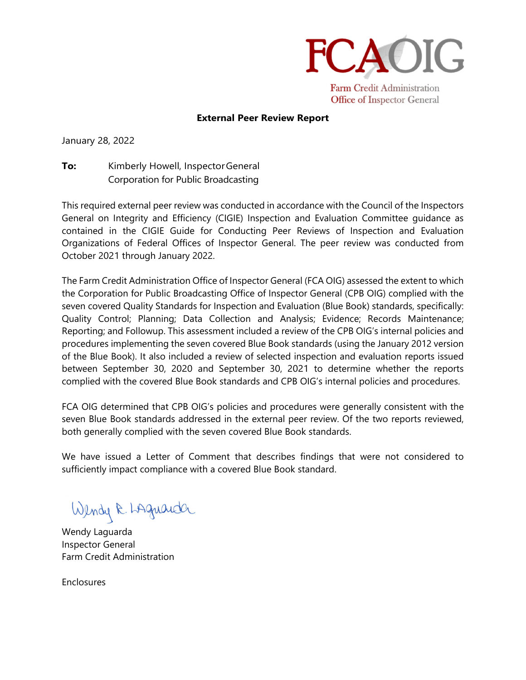

## **External Peer Review Report**

January 28, 2022

**To:** Kimberly Howell, Inspector General Corporation for Public Broadcasting

This required external peer review was conducted in accordance with the Council of the Inspectors General on Integrity and Efficiency (CIGIE) Inspection and Evaluation Committee guidance as contained in the CIGIE Guide for Conducting Peer Reviews of Inspection and Evaluation Organizations of Federal Offices of Inspector General. The peer review was conducted from October 2021 through January 2022.

The Farm Credit Administration Office of Inspector General (FCA OIG) assessed the extent to which the Corporation for Public Broadcasting Office of Inspector General (CPB OIG) complied with the seven covered Quality Standards for Inspection and Evaluation (Blue Book) standards, specifically: Quality Control; Planning; Data Collection and Analysis; Evidence; Records Maintenance; Reporting; and Followup. This assessment included a review of the CPB OIG's internal policies and procedures implementing the seven covered Blue Book standards (using the January 2012 version of the Blue Book). It also included a review of selected inspection and evaluation reports issued between September 30, 2020 and September 30, 2021 to determine whether the reports complied with the covered Blue Book standards and CPB OIG's internal policies and procedures.

FCA OIG determined that CPB OIG's policies and procedures were generally consistent with the seven Blue Book standards addressed in the external peer review. Of the two reports reviewed, both generally complied with the seven covered Blue Book standards.

We have issued a Letter of Comment that describes findings that were not considered to sufficiently impact compliance with a covered Blue Book standard.

Wendy R. LAquanda

Wendy Laguarda Inspector General Farm Credit Administration

Enclosures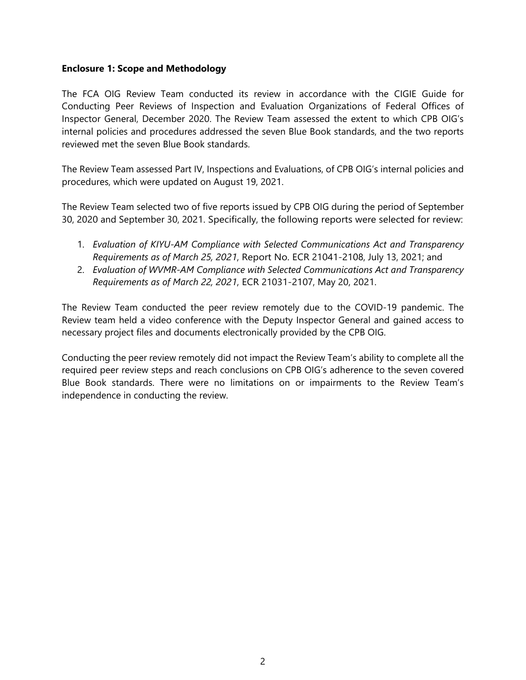## **Enclosure 1: Scope and Methodology**

The FCA OIG Review Team conducted its review in accordance with the CIGIE Guide for Conducting Peer Reviews of Inspection and Evaluation Organizations of Federal Offices of Inspector General, December 2020. The Review Team assessed the extent to which CPB OIG's internal policies and procedures addressed the seven Blue Book standards, and the two reports reviewed met the seven Blue Book standards.

The Review Team assessed Part IV, Inspections and Evaluations, of CPB OIG's internal policies and procedures, which were updated on August 19, 2021.

The Review Team selected two of five reports issued by CPB OIG during the period of September 30, 2020 and September 30, 2021. Specifically, the following reports were selected for review:

- 1. *Evaluation of KIYU-AM Compliance with Selected Communications Act and Transparency Requirements as of March 25, 2021*, Report No. ECR 21041-2108, July 13, 2021; and
- 2. *Evaluation of WVMR-AM Compliance with Selected Communications Act and Transparency Requirements as of March 22, 2021*, ECR 21031-2107, May 20, 2021.

The Review Team conducted the peer review remotely due to the COVID-19 pandemic. The Review team held a video conference with the Deputy Inspector General and gained access to necessary project files and documents electronically provided by the CPB OIG.

Conducting the peer review remotely did not impact the Review Team's ability to complete all the required peer review steps and reach conclusions on CPB OIG's adherence to the seven covered Blue Book standards. There were no limitations on or impairments to the Review Team's independence in conducting the review.